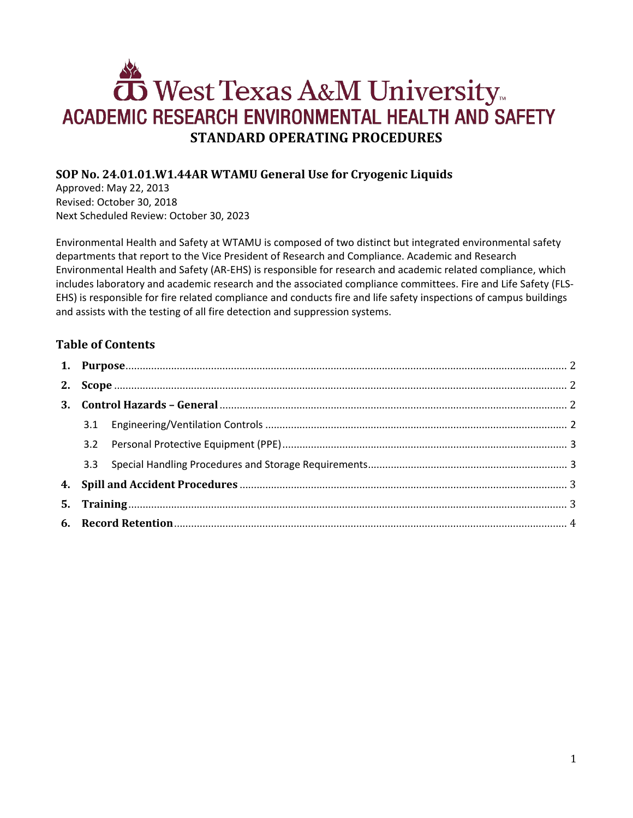# West Texas A&M University ACADEMIC RESEARCH ENVIRONMENTAL HEALTH AND SAFETY **STANDARD OPERATING PROCEDURES**

# **SOP No. 24.01.01.W1.44AR WTAMU General Use for Cryogenic Liquids**

Approved: May 22, 2013 Revised: October 30, 2018 Next Scheduled Review: October 30, 2023

Environmental Health and Safety at WTAMU is composed of two distinct but integrated environmental safety departments that report to the Vice President of Research and Compliance. Academic and Research Environmental Health and Safety (AR-EHS) is responsible for research and academic related compliance, which includes laboratory and academic research and the associated compliance committees. Fire and Life Safety (FLS-EHS) is responsible for fire related compliance and conducts fire and life safety inspections of campus buildings and assists with the testing of all fire detection and suppression systems.

# **Table of Contents**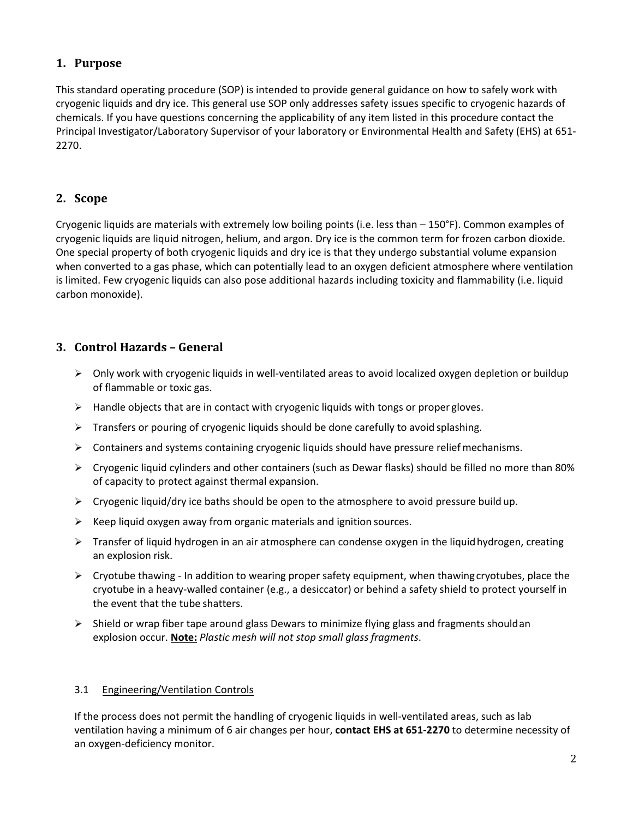# <span id="page-1-0"></span>**1. Purpose**

This standard operating procedure (SOP) is intended to provide general guidance on how to safely work with cryogenic liquids and dry ice. This general use SOP only addresses safety issues specific to cryogenic hazards of chemicals. If you have questions concerning the applicability of any item listed in this procedure contact the Principal Investigator/Laboratory Supervisor of your laboratory or Environmental Health and Safety (EHS) at 651- 2270.

# <span id="page-1-1"></span>**2. Scope**

Cryogenic liquids are materials with extremely low boiling points (i.e. less than – 150°F). Common examples of cryogenic liquids are liquid nitrogen, helium, and argon. Dry ice is the common term for frozen carbon dioxide. One special property of both cryogenic liquids and dry ice is that they undergo substantial volume expansion when converted to a gas phase, which can potentially lead to an oxygen deficient atmosphere where ventilation is limited. Few cryogenic liquids can also pose additional hazards including toxicity and flammability (i.e. liquid carbon monoxide).

# <span id="page-1-2"></span>**3. Control Hazards – General**

- $\triangleright$  Only work with cryogenic liquids in well-ventilated areas to avoid localized oxygen depletion or buildup of flammable or toxic gas.
- $\triangleright$  Handle objects that are in contact with cryogenic liquids with tongs or proper gloves.
- $\triangleright$  Transfers or pouring of cryogenic liquids should be done carefully to avoid splashing.
- $\triangleright$  Containers and systems containing cryogenic liquids should have pressure relief mechanisms.
- $\triangleright$  Cryogenic liquid cylinders and other containers (such as Dewar flasks) should be filled no more than 80% of capacity to protect against thermal expansion.
- $\triangleright$  Cryogenic liquid/dry ice baths should be open to the atmosphere to avoid pressure build up.
- $\triangleright$  Keep liquid oxygen away from organic materials and ignition sources.
- $\triangleright$  Transfer of liquid hydrogen in an air atmosphere can condense oxygen in the liquid hydrogen, creating an explosion risk.
- $\triangleright$  Cryotube thawing In addition to wearing proper safety equipment, when thawing cryotubes, place the cryotube in a heavy-walled container (e.g., a desiccator) or behind a safety shield to protect yourself in the event that the tube shatters.
- $\triangleright$  Shield or wrap fiber tape around glass Dewars to minimize flying glass and fragments shouldan explosion occur. **Note:** *Plastic mesh will not stop small glassfragments*.

#### <span id="page-1-3"></span>3.1 Engineering/Ventilation Controls

If the process does not permit the handling of cryogenic liquids in well-ventilated areas, such as lab ventilation having a minimum of 6 air changes per hour, **contact EHS at 651-2270** to determine necessity of an oxygen-deficiency monitor.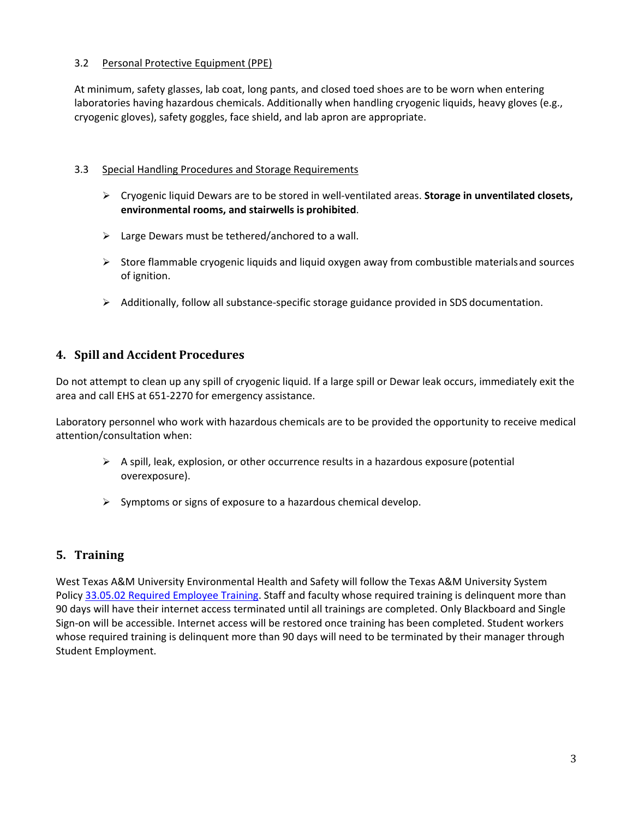#### <span id="page-2-0"></span>3.2 Personal Protective Equipment (PPE)

At minimum, safety glasses, lab coat, long pants, and closed toed shoes are to be worn when entering laboratories having hazardous chemicals. Additionally when handling cryogenic liquids, heavy gloves (e.g., cryogenic gloves), safety goggles, face shield, and lab apron are appropriate.

#### <span id="page-2-1"></span>3.3 Special Handling Procedures and Storage Requirements

- Cryogenic liquid Dewars are to be stored in well-ventilated areas. **Storage in unventilated closets, environmental rooms, and stairwells is prohibited**.
- $\triangleright$  Large Dewars must be tethered/anchored to a wall.
- $\triangleright$  Store flammable cryogenic liquids and liquid oxygen away from combustible materials and sources of ignition.
- $\triangleright$  Additionally, follow all substance-specific storage guidance provided in SDS documentation.

## <span id="page-2-2"></span>**4. Spill and Accident Procedures**

Do not attempt to clean up any spill of cryogenic liquid. If a large spill or Dewar leak occurs, immediately exit the area and call EHS at 651-2270 for emergency assistance.

Laboratory personnel who work with hazardous chemicals are to be provided the opportunity to receive medical attention/consultation when:

- $\triangleright$  A spill, leak, explosion, or other occurrence results in a hazardous exposure (potential overexposure).
- $\triangleright$  Symptoms or signs of exposure to a hazardous chemical develop.

## <span id="page-2-3"></span>**5. Training**

West Texas A&M University Environmental Health and Safety will follow the Texas A&M University System Polic[y 33.05.02 Required Employee Training.](http://policies.tamus.edu/33-05-02.pdf) Staff and faculty whose required training is delinquent more than 90 days will have their internet access terminated until all trainings are completed. Only Blackboard and Single Sign-on will be accessible. Internet access will be restored once training has been completed. Student workers whose required training is delinquent more than 90 days will need to be terminated by their manager through Student Employment.